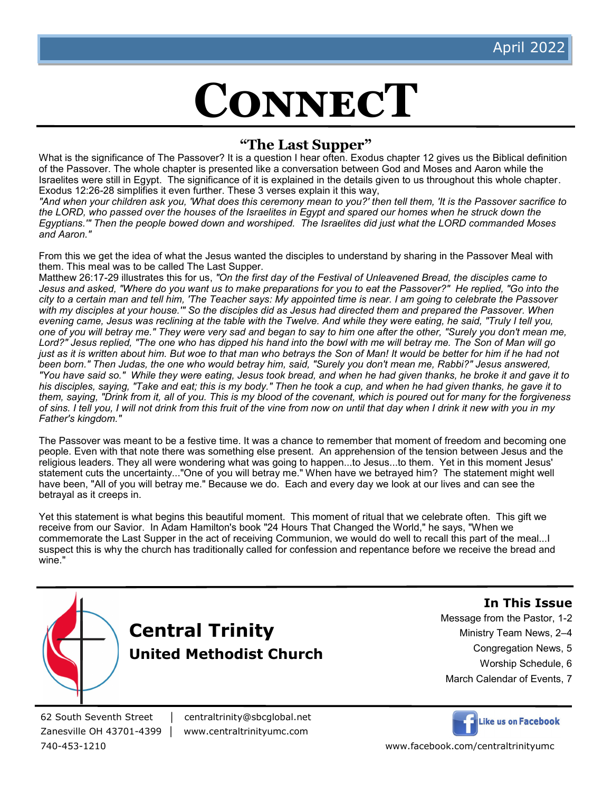# **ConnecT**

# **"The Last Supper"**

What is the significance of The Passover? It is a question I hear often. Exodus chapter 12 gives us the Biblical definition of the Passover. The whole chapter is presented like a conversation between God and Moses and Aaron while the Israelites were still in Egypt. The significance of it is explained in the details given to us throughout this whole chapter. Exodus 12:26-28 simplifies it even further. These 3 verses explain it this way,

*"And when your children ask you, 'What does this ceremony mean to you?' then tell them, 'It is the Passover sacrifice to*  the LORD, who passed over the houses of the Israelites in Egypt and spared our homes when he struck down the *Egyptians.'" Then the people bowed down and worshiped. The Israelites did just what the LORD commanded Moses and Aaron."*

From this we get the idea of what the Jesus wanted the disciples to understand by sharing in the Passover Meal with them. This meal was to be called The Last Supper.

Matthew 26:17-29 illustrates this for us, *"On the first day of the Festival of Unleavened Bread, the disciples came to*  Jesus and asked, "Where do you want us to make preparations for you to eat the Passover?" He replied, "Go into the *city to a certain man and tell him, 'The Teacher says: My appointed time is near. I am going to celebrate the Passover with my disciples at your house.'" So the disciples did as Jesus had directed them and prepared the Passover. When evening came, Jesus was reclining at the table with the Twelve. And while they were eating, he said, "Truly I tell you, one of you will betray me." They were very sad and began to say to him one after the other, "Surely you don't mean me, Lord?" Jesus replied, "The one who has dipped his hand into the bowl with me will betray me. The Son of Man will go just as it is written about him. But woe to that man who betravs the Son of Man! It would be better for him if he had not been born." Then Judas, the one who would betray him, said, "Surely you don't mean me, Rabbi?" Jesus answered, "You have said so." While they were eating, Jesus took bread, and when he had given thanks, he broke it and gave it to his disciples, saying, "Take and eat; this is my body." Then he took a cup, and when he had given thanks, he gave it to them, saying, "Drink from it, all of you. This is my blood of the covenant, which is poured out for many for the forgiveness of sins. I tell you, I will not drink from this fruit of the vine from now on until that day when I drink it new with you in my Father's kingdom."*

The Passover was meant to be a festive time. It was a chance to remember that moment of freedom and becoming one people. Even with that note there was something else present. An apprehension of the tension between Jesus and the religious leaders. They all were wondering what was going to happen...to Jesus...to them. Yet in this moment Jesus' statement cuts the uncertainty..."One of you will betray me." When have we betrayed him? The statement might well have been, "All of you will betray me." Because we do. Each and every day we look at our lives and can see the betrayal as it creeps in.

Yet this statement is what begins this beautiful moment. This moment of ritual that we celebrate often. This gift we receive from our Savior. In Adam Hamilton's book "24 Hours That Changed the World," he says, "When we commemorate the Last Supper in the act of receiving Communion, we would do well to recall this part of the meal...I suspect this is why the church has traditionally called for confession and repentance before we receive the bread and wine."



**In This Issue**

Message from the Pastor, 1-2

- Ministry Team News, 2–4
	- Congregation News, 5
	- Worship Schedule, 6
- March Calendar of Events, 7

62 South Seventh Street │ centraltrinity@sbcglobal.net

Zanesville OH 43701-4399 │ www.centraltrinityumc.com



740-453-1210 www.facebook.com/centraltrinityumc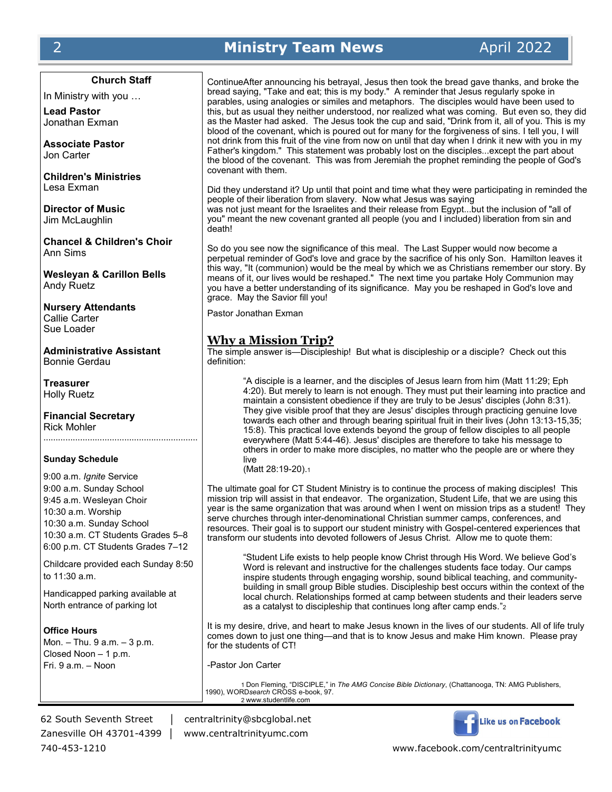# 2 **Ministry Team News** April 2022

#### **Church Staff**

In Ministry with you …

**Lead Pastor** Jonathan Exman

**Associate Pastor** Jon Carter

**Children's Ministries** Lesa Exman

**Director of Music** Jim McLaughlin

**Chancel & Children's Choir** Ann Sims

**Wesleyan & Carillon Bells** Andy Ruetz

**Nursery Attendants** Callie Carter Sue Loader

**Administrative Assistant** Bonnie Gerdau

**Treasurer** Holly Ruetz

**Financial Secretary** Rick Mohler ………………………………………………………

#### **Sunday Schedule**

9:00 a.m. *Ignite* Service 9:00 a.m. Sunday School 9:45 a.m. Wesleyan Choir 10:30 a.m. Worship 10:30 a.m. Sunday School 10:30 a.m. CT Students Grades 5–8 6:00 p.m. CT Students Grades 7–12

Childcare provided each Sunday 8:50 to 11:30 a.m.

Handicapped parking available at North entrance of parking lot

#### **Office Hours**

Mon. – Thu. 9 a.m. – 3 p.m. Closed Noon – 1 p.m. Fri. 9 a.m. – Noon

ContinueAfter announcing his betrayal, Jesus then took the bread gave thanks, and broke the bread saying, "Take and eat; this is my body." A reminder that Jesus regularly spoke in parables, using analogies or similes and metaphors. The disciples would have been used to this, but as usual they neither understood, nor realized what was coming. But even so, they did as the Master had asked. The Jesus took the cup and said, "Drink from it, all of you. This is my blood of the covenant, which is poured out for many for the forgiveness of sins. I tell you, I will not drink from this fruit of the vine from now on until that day when I drink it new with you in my Father's kingdom." This statement was probably lost on the disciples...except the part about the blood of the covenant. This was from Jeremiah the prophet reminding the people of God's covenant with them.

Did they understand it? Up until that point and time what they were participating in reminded the people of their liberation from slavery. Now what Jesus was saying was not just meant for the Israelites and their release from Egypt...but the inclusion of "all of you" meant the new covenant granted all people (you and I included) liberation from sin and death!

So do you see now the significance of this meal. The Last Supper would now become a perpetual reminder of God's love and grace by the sacrifice of his only Son. Hamilton leaves it this way, "It (communion) would be the meal by which we as Christians remember our story. By means of it, our lives would be reshaped." The next time you partake Holy Communion may you have a better understanding of its significance. May you be reshaped in God's love and grace. May the Savior fill you!

Pastor Jonathan Exman

#### **Why a Mission Trip?**

The simple answer is—Discipleship! But what is discipleship or a disciple? Check out this definition:

"A disciple is a learner, and the disciples of Jesus learn from him (Matt 11:29; Eph 4:20). But merely to learn is not enough. They must put their learning into practice and maintain a consistent obedience if they are truly to be Jesus' disciples (John 8:31). They give visible proof that they are Jesus' disciples through practicing genuine love towards each other and through bearing spiritual fruit in their lives (John 13:13-15,35; 15:8). This practical love extends beyond the group of fellow disciples to all people everywhere (Matt 5:44-46). Jesus' disciples are therefore to take his message to others in order to make more disciples, no matter who the people are or where they live

(Matt 28:19-20).<sup>1</sup>

The ultimate goal for CT Student Ministry is to continue the process of making disciples! This mission trip will assist in that endeavor. The organization, Student Life, that we are using this year is the same organization that was around when I went on mission trips as a student! They serve churches through inter-denominational Christian summer camps, conferences, and resources. Their goal is to support our student ministry with Gospel-centered experiences that transform our students into devoted followers of Jesus Christ. Allow me to quote them:

"Student Life exists to help people know Christ through His Word. We believe God's Word is relevant and instructive for the challenges students face today. Our camps inspire students through engaging worship, sound biblical teaching, and communitybuilding in small group Bible studies. Discipleship best occurs within the context of the local church. Relationships formed at camp between students and their leaders serve as a catalyst to discipleship that continues long after camp ends."<sup>2</sup>

It is my desire, drive, and heart to make Jesus known in the lives of our students. All of life truly comes down to just one thing—and that is to know Jesus and make Him known. Please pray for the students of CT!

-Pastor Jon Carter

1 Don Fleming, "DISCIPLE," in *The AMG Concise Bible Dictionary*, (Chattanooga, TN: AMG Publishers, 1990), WORD*search* CROSS e-book, 97. 2 www.studentlife.com

Zanesville OH 43701-4399 │ www.centraltrinityumc.com

62 South Seventh Street │ centraltrinity@sbcglobal.net



740-453-1210 www.facebook.com/centraltrinityumc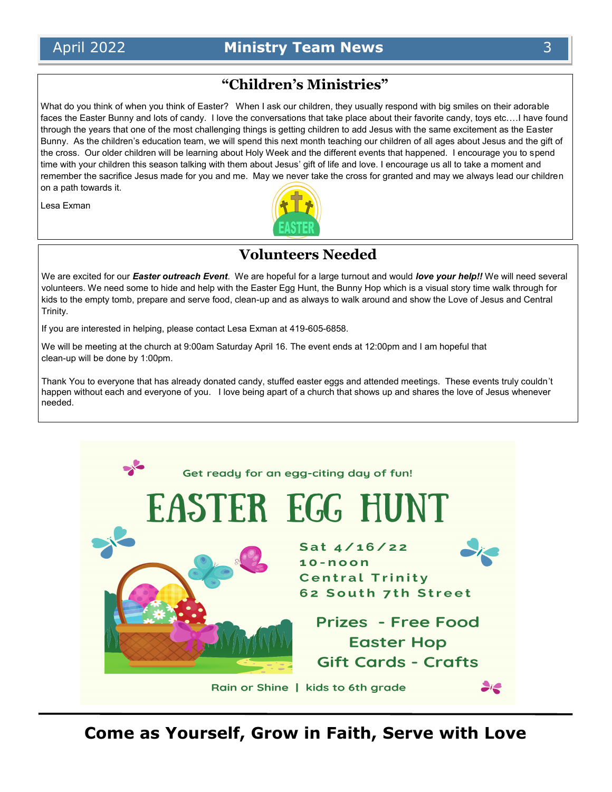# **"Children's Ministries"**

What do you think of when you think of Easter? When I ask our children, they usually respond with big smiles on their adorable faces the Easter Bunny and lots of candy. I love the conversations that take place about their favorite candy, toys etc.…I have found through the years that one of the most challenging things is getting children to add Jesus with the same excitement as the Easter Bunny. As the children's education team, we will spend this next month teaching our children of all ages about Jesus and the gift of the cross. Our older children will be learning about Holy Week and the different events that happened. I encourage you to spend time with your children this season talking with them about Jesus' gift of life and love. I encourage us all to take a moment and remember the sacrifice Jesus made for you and me. May we never take the cross for granted and may we always lead our children on a path towards it.

Lesa Exman



# **Volunteers Needed**

We are excited for our *Easter outreach Event*. We are hopeful for a large turnout and would *love your help!!* We will need several volunteers. We need some to hide and help with the Easter Egg Hunt, the Bunny Hop which is a visual story time walk through for kids to the empty tomb, prepare and serve food, clean-up and as always to walk around and show the Love of Jesus and Central Trinity.

If you are interested in helping, please contact Lesa Exman at 419-605-6858.

We will be meeting at the church at 9:00am Saturday April 16. The event ends at 12:00pm and I am hopeful that clean-up will be done by 1:00pm.

Thank You to everyone that has already donated candy, stuffed easter eggs and attended meetings. These events truly couldn't happen without each and everyone of you. I love being apart of a church that shows up and shares the love of Jesus whenever needed.

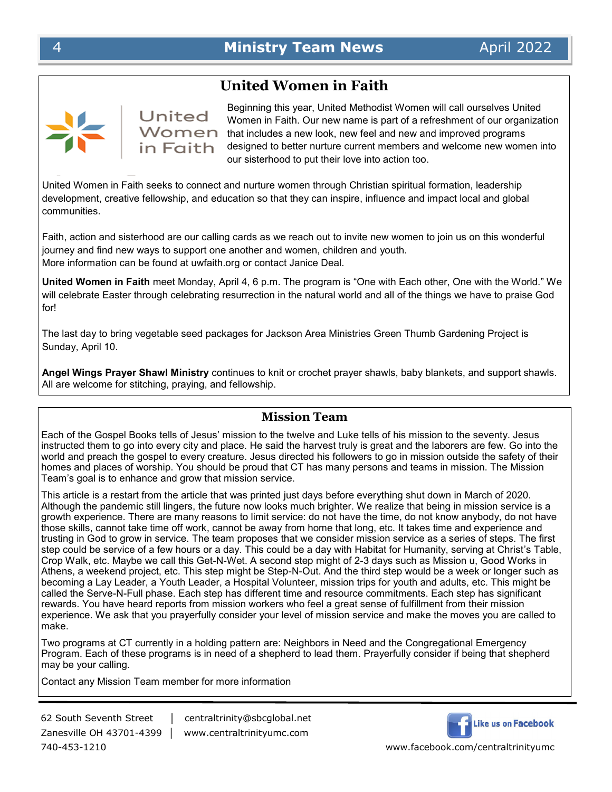#### **United Women in Faith**

United in Faith

Beginning this year, United Methodist Women will call ourselves United Women in Faith. Our new name is part of a refreshment of our organization  $W$ omen that includes a new look, new feel and new and improved programs designed to better nurture current members and welcome new women into our sisterhood to put their love into action too.

United Women in Faith seeks to connect and nurture women through Christian spiritual formation, leadership development, creative fellowship, and education so that they can inspire, influence and impact local and global communities.

Faith, action and sisterhood are our calling cards as we reach out to invite new women to join us on this wonderful journey and find new ways to support one another and women, children and youth. More information can be found at uwfaith.org or contact Janice Deal.

**United Women in Faith** meet Monday, April 4, 6 p.m. The program is "One with Each other, One with the World." We will celebrate Easter through celebrating resurrection in the natural world and all of the things we have to praise God for!

The last day to bring vegetable seed packages for Jackson Area Ministries Green Thumb Gardening Project is Sunday, April 10.

**Angel Wings Prayer Shawl Ministry** continues to knit or crochet prayer shawls, baby blankets, and support shawls. All are welcome for stitching, praying, and fellowship.

#### **Mission Team**

Each of the Gospel Books tells of Jesus' mission to the twelve and Luke tells of his mission to the seventy. Jesus instructed them to go into every city and place. He said the harvest truly is great and the laborers are few. Go into the world and preach the gospel to every creature. Jesus directed his followers to go in mission outside the safety of their homes and places of worship. You should be proud that CT has many persons and teams in mission. The Mission Team's goal is to enhance and grow that mission service.

This article is a restart from the article that was printed just days before everything shut down in March of 2020. Although the pandemic still lingers, the future now looks much brighter. We realize that being in mission service is a growth experience. There are many reasons to limit service: do not have the time, do not know anybody, do not have those skills, cannot take time off work, cannot be away from home that long, etc. It takes time and experience and trusting in God to grow in service. The team proposes that we consider mission service as a series of steps. The first step could be service of a few hours or a day. This could be a day with Habitat for Humanity, serving at Christ's Table, Crop Walk, etc. Maybe we call this Get-N-Wet. A second step might of 2-3 days such as Mission u, Good Works in Athens, a weekend project, etc. This step might be Step-N-Out. And the third step would be a week or longer such as becoming a Lay Leader, a Youth Leader, a Hospital Volunteer, mission trips for youth and adults, etc. This might be called the Serve-N-Full phase. Each step has different time and resource commitments. Each step has significant rewards. You have heard reports from mission workers who feel a great sense of fulfillment from their mission experience. We ask that you prayerfully consider your level of mission service and make the moves you are called to make.

Two programs at CT currently in a holding pattern are: Neighbors in Need and the Congregational Emergency Program. Each of these programs is in need of a shepherd to lead them. Prayerfully consider if being that shepherd may be your calling.

Contact any Mission Team member for more information

Zanesville OH 43701-4399 │ www.centraltrinityumc.com 740-453-1210 www.facebook.com/centraltrinityumc

62 South Seventh Street │ centraltrinity@sbcglobal.net

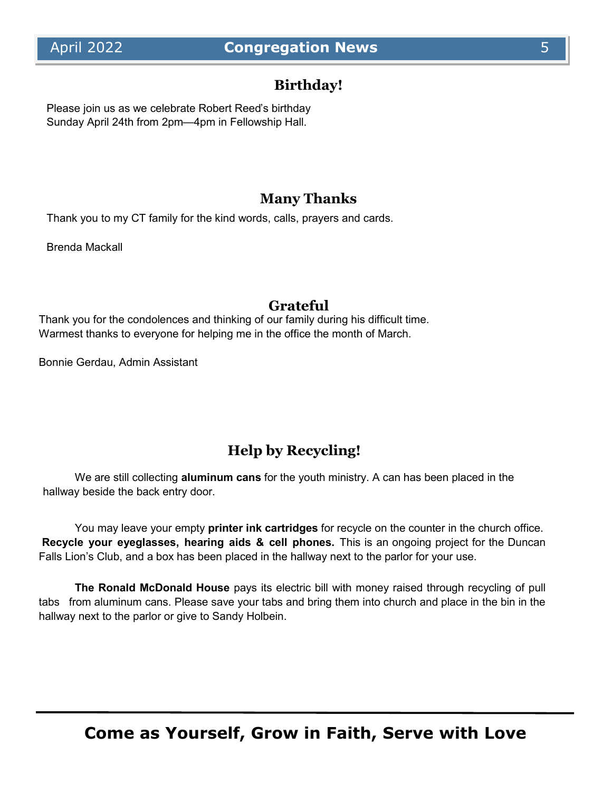# **Birthday!**

Please join us as we celebrate Robert Reed's birthday Sunday April 24th from 2pm—4pm in Fellowship Hall.

### **Many Thanks**

Thank you to my CT family for the kind words, calls, prayers and cards.

Brenda Mackall

#### **Grateful**

Thank you for the condolences and thinking of our family during his difficult time. Warmest thanks to everyone for helping me in the office the month of March.

Bonnie Gerdau, Admin Assistant

# **Help by Recycling!**

We are still collecting **aluminum cans** for the youth ministry. A can has been placed in the hallway beside the back entry door.

You may leave your empty **printer ink cartridges** for recycle on the counter in the church office. **Recycle your eyeglasses, hearing aids & cell phones.** This is an ongoing project for the Duncan Falls Lion's Club, and a box has been placed in the hallway next to the parlor for your use.

**The Ronald McDonald House** pays its electric bill with money raised through recycling of pull tabs from aluminum cans. Please save your tabs and bring them into church and place in the bin in the hallway next to the parlor or give to Sandy Holbein.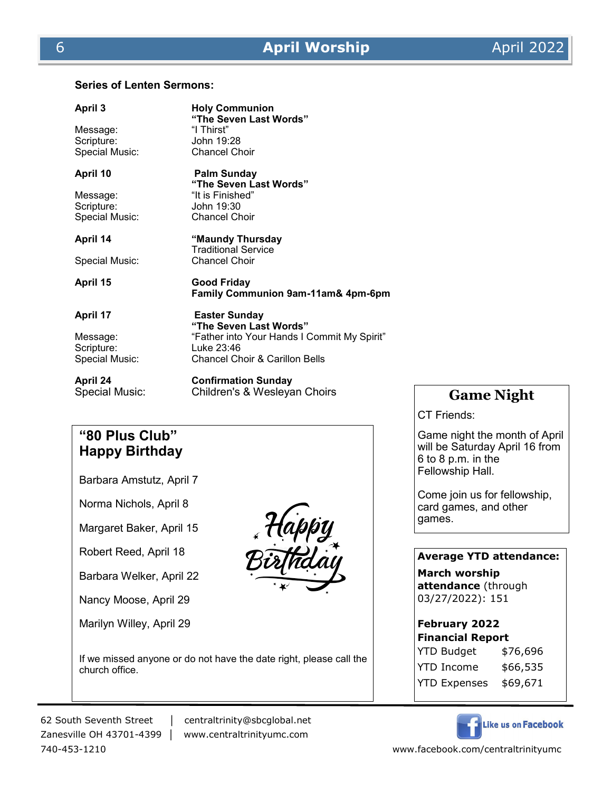# **Series of Lenten Sermons:**

| April 3<br>Message:<br>Scripture:<br>Special Music:         | <b>Holy Communion</b><br>"The Seven Last Words"<br>"I Thirst"<br>John 19:28<br><b>Chancel Choir</b>                                                      |
|-------------------------------------------------------------|----------------------------------------------------------------------------------------------------------------------------------------------------------|
| April 10<br>Message:<br>Scripture:<br>Special Music:        | Palm Sunday<br>"The Seven Last Words"<br>"It is Finished"<br>John 19:30<br><b>Chancel Choir</b>                                                          |
| April 14<br>Special Music:                                  | "Maundy Thursday<br><b>Traditional Service</b><br><b>Chancel Choir</b>                                                                                   |
| April 15                                                    | Good Friday<br>Family Communion 9am-11am& 4pm-6pm                                                                                                        |
| <b>April 17</b><br>Message:<br>Scripture:<br>Special Music: | <b>Easter Sunday</b><br>"The Seven Last Words"<br>"Father into Your Hands I Commit My Spirit"<br>Luke 23:46<br><b>Chancel Choir &amp; Carillon Bells</b> |
| April 24<br>Special Music:                                  | <b>Confirmation Sunday</b><br>Children's & Wesleyan Choirs                                                                                               |

#### **"80 Plus Club" Happy Birthday**

Barbara Amstutz, April 7

Norma Nichols, April 8

Margaret Baker, April 15

Robert Reed, April 18

Barbara Welker, April 22

Nancy Moose, April 29

Marilyn Willey, April 29



If we missed anyone or do not have the date right, please call the church office.

62 South Seventh Street │ centraltrinity@sbcglobal.net

Zanesville OH 43701-4399 │ www.centraltrinityumc.com

### **Game Night**

CT Friends:

Game night the month of April will be Saturday April 16 from 6 to 8 p.m. in the Fellowship Hall.

Come join us for fellowship, card games, and other games.

#### **Average YTD attendance:**

**March worship attendance** (through 03/27/2022): 151

#### **February 2022**

| <b>Financial Report</b> |          |  |  |  |
|-------------------------|----------|--|--|--|
| YTD Budget              | \$76,696 |  |  |  |
| YTD Income              | \$66,535 |  |  |  |
| <b>YTD Expenses</b>     | \$69,671 |  |  |  |



740-453-1210 www.facebook.com/centraltrinityumc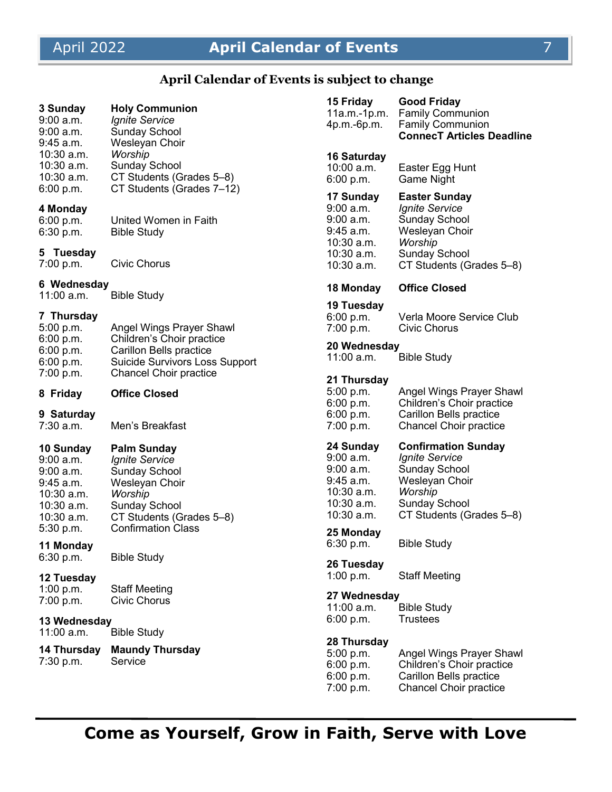# April 2022 **April Calendar of Events** 7

# **April Calendar of Events is subject to change**

| 3 Sunday<br>9:00 a.m.<br>9:00 a.m.<br>9:45 a.m.                                                  | <b>Holy Communion</b><br><b>Ignite Service</b><br><b>Sunday School</b><br>Wesleyan Choir                                                      | 15 Friday<br>11a.m.-1p.m.<br>4p.m.-6p.m.                                                       | <b>Good Friday</b><br><b>Family Communion</b><br><b>Family Communion</b><br><b>ConnecT Articles Deadline</b>                                                 |
|--------------------------------------------------------------------------------------------------|-----------------------------------------------------------------------------------------------------------------------------------------------|------------------------------------------------------------------------------------------------|--------------------------------------------------------------------------------------------------------------------------------------------------------------|
| 10:30 a.m.<br>$10:30$ a.m.<br>10:30 a.m.<br>6:00 p.m.                                            | Worship<br><b>Sunday School</b><br>CT Students (Grades 5-8)<br>CT Students (Grades 7-12)                                                      | <b>16 Saturday</b><br>$10:00$ a.m.<br>6:00 p.m.                                                | Easter Egg Hunt<br>Game Night                                                                                                                                |
| 4 Monday<br>6:00 p.m.<br>6:30 p.m.<br>5 Tuesday<br>7:00 p.m.                                     | United Women in Faith<br><b>Bible Study</b><br>Civic Chorus                                                                                   | 17 Sunday<br>9:00 a.m.<br>9:00 a.m.<br>9:45 a.m.<br>10:30 a.m.<br>$10:30$ a.m.<br>$10:30$ a.m. | <b>Easter Sunday</b><br><b>Ignite Service</b><br><b>Sunday School</b><br>Wesleyan Choir<br>Worship<br><b>Sunday School</b><br>CT Students (Grades 5-8)       |
| 6 Wednesday                                                                                      |                                                                                                                                               | 18 Monday                                                                                      | <b>Office Closed</b>                                                                                                                                         |
| $11:00$ a.m.<br>7 Thursday<br>5:00 p.m.<br>6:00 p.m.<br>6:00 p.m.                                | <b>Bible Study</b><br>Angel Wings Prayer Shawl<br>Children's Choir practice<br><b>Carillon Bells practice</b>                                 | 19 Tuesday<br>6:00 p.m.<br>7:00 p.m.<br>20 Wednesday<br>$11:00$ a.m.                           | Verla Moore Service Club<br>Civic Chorus<br><b>Bible Study</b>                                                                                               |
| 6:00 p.m.<br>7:00 p.m.<br>8 Friday                                                               | Suicide Survivors Loss Support<br><b>Chancel Choir practice</b><br><b>Office Closed</b>                                                       | 21 Thursday<br>5:00 p.m.                                                                       | Angel Wings Prayer Shawl                                                                                                                                     |
| 9 Saturday<br>7:30 a.m.                                                                          | Men's Breakfast                                                                                                                               | 6:00 p.m.<br>6:00 p.m.<br>7:00 p.m.                                                            | Children's Choir practice<br>Carillon Bells practice<br><b>Chancel Choir practice</b>                                                                        |
| 10 Sunday<br>9:00 a.m.<br>9:00 a.m.<br>$9:45$ a.m.<br>$10:30$ a.m.<br>$10:30$ a.m.<br>10:30 a.m. | <b>Palm Sunday</b><br>Ignite Service<br><b>Sunday School</b><br>Wesleyan Choir<br>Worship<br><b>Sunday School</b><br>CT Students (Grades 5-8) | 24 Sunday<br>$9:00$ a.m.<br>$9:00$ a.m.<br>9:45 a.m.<br>10:30 a.m.<br>10:30 a.m.<br>10:30 a.m. | <b>Confirmation Sunday</b><br><b>Ignite Service</b><br><b>Sunday School</b><br>Wesleyan Choir<br>Worship<br><b>Sunday School</b><br>CT Students (Grades 5-8) |
| 5:30 p.m.<br>11 Monday<br>6:30 p.m.                                                              | <b>Confirmation Class</b>                                                                                                                     | 25 Monday<br>6:30 p.m.                                                                         | <b>Bible Study</b>                                                                                                                                           |
| 12 Tuesday                                                                                       | <b>Bible Study</b>                                                                                                                            | 26 Tuesday<br>1:00 p.m.                                                                        | <b>Staff Meeting</b>                                                                                                                                         |
| 1:00 p.m.<br>7:00 p.m.<br>13 Wednesday                                                           | <b>Staff Meeting</b><br><b>Civic Chorus</b>                                                                                                   | 27 Wednesday<br>$11:00$ a.m.<br>6:00 p.m.                                                      | <b>Bible Study</b><br>Trustees                                                                                                                               |
| 11:00 a.m.                                                                                       | <b>Bible Study</b>                                                                                                                            |                                                                                                |                                                                                                                                                              |
| 14 Thursday<br>7:30 p.m.                                                                         | <b>Maundy Thursday</b><br>Service                                                                                                             | 28 Thursday<br>5:00 p.m.<br>6:00 p.m.<br>6:00 p.m.<br>7:00 p.m.                                | Angel Wings Prayer Shawl<br>Children's Choir practice<br>Carillon Bells practice<br><b>Chancel Choir practice</b>                                            |